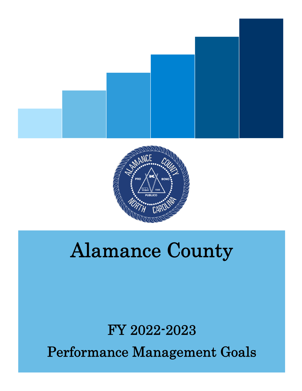



## Alamance County

# FY 2022-2023

Performance Management Goals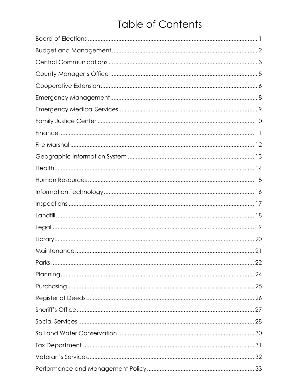### **Table of Contents**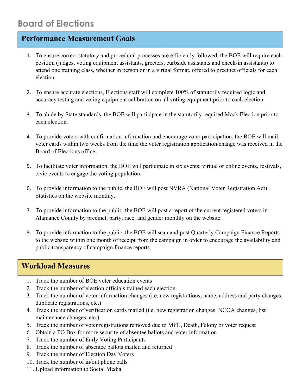- 1. To ensure correct statutory and procedural processes are efficiently followed, the BOE will require each position (judges, voting equipment assistants, greeters, curbside assistants and check-in assistants) to attend one training class, whether in person or in a virtual format, offered to precinct officials for each election.
- 2. To ensure accurate elections, Elections staff will complete 100% of statutorily required logic and accuracy testing and voting equipment calibration on all voting equipment prior to each election.
- 3. To abide by State standards, the BOE will participate in the statutorily required Mock Election prior to each election.
- 4. To provide voters with confirmation information and encourage voter participation, the BOE will mail voter cards within two weeks from the time the voter registration application/change was received in the Board of Elections office.
- 5. To facilitate voter information, the BOE will participate in six events: virtual or online events, festivals, civic events to engage the voting population.
- 6. To provide information to the public, the BOE will post NVRA (National Voter Registration Act) Statistics on the website monthly.
- 7. To provide information to the public, the BOE will post a report of the current registered voters in Alamance County by precinct, party, race, and gender monthly on the website.
- 8. To provide information to the public, the BOE will scan and post Quarterly Campaign Finance Reports to the website within one month of receipt from the campaign in order to encourage the availability and public transparency of campaign finance reports.

- 1. Track the number of BOE voter education events
- 2. Track the number of election officials trained each election
- 3. Track the number of voter information changes (i.e. new registrations, name, address and party changes, duplicate registrations, etc.)
- 4. Track the number of verification cards mailed (i.e. new registration changes, NCOA changes, list maintenance changes, etc.)
- 5. Track the number of voter registrations removed due to MFC, Death, Felony or voter request
- 6. Obtain a PO Box for more security of absentee ballots and voter information
- 7. Track the number of Early Voting Participants
- 8. Track the number of absentee ballots mailed and returned
- 9. Track the number of Election Day Voters
- 10. Track the number of in/out phone calls
- 11. Upload information to Social Media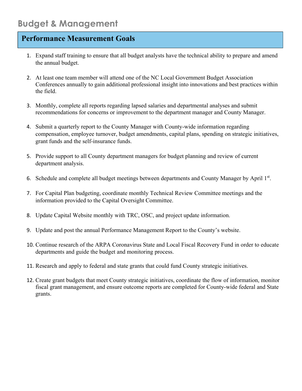- 1. Expand staff training to ensure that all budget analysts have the technical ability to prepare and amend the annual budget.
- 2. At least one team member will attend one of the NC Local Government Budget Association Conferences annually to gain additional professional insight into innovations and best practices within the field.
- 3. Monthly, complete all reports regarding lapsed salaries and departmental analyses and submit recommendations for concerns or improvement to the department manager and County Manager.
- 4. Submit a quarterly report to the County Manager with County-wide information regarding compensation, employee turnover, budget amendments, capital plans, spending on strategic initiatives, grant funds and the self-insurance funds.
- 5. Provide support to all County department managers for budget planning and review of current department analysis.
- 6. Schedule and complete all budget meetings between departments and County Manager by April 1st.
- 7. For Capital Plan budgeting, coordinate monthly Technical Review Committee meetings and the information provided to the Capital Oversight Committee.
- 8. Update Capital Website monthly with TRC, OSC, and project update information.
- 9. Update and post the annual Performance Management Report to the County's website.
- 10. Continue research of the ARPA Coronavirus State and Local Fiscal Recovery Fund in order to educate departments and guide the budget and monitoring process.
- 11. Research and apply to federal and state grants that could fund County strategic initiatives.
- 12. Create grant budgets that meet County strategic initiatives, coordinate the flow of information, monitor fiscal grant management, and ensure outcome reports are completed for County-wide federal and State grants.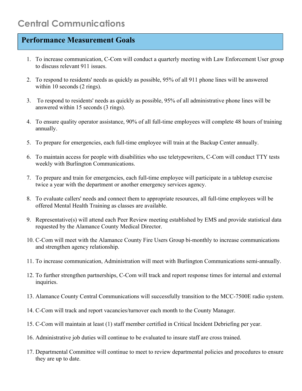- 1. To increase communication, C-Com will conduct a quarterly meeting with Law Enforcement User group to discuss relevant 911 issues.
- 2. To respond to residents' needs as quickly as possible, 95% of all 911 phone lines will be answered within 10 seconds (2 rings).
- 3. To respond to residents' needs as quickly as possible, 95% of all administrative phone lines will be answered within 15 seconds (3 rings).
- 4. To ensure quality operator assistance, 90% of all full-time employees will complete 48 hours of training annually.
- 5. To prepare for emergencies, each full-time employee will train at the Backup Center annually.
- 6. To maintain access for people with disabilities who use teletypewriters, C-Com will conduct TTY tests weekly with Burlington Communications.
- 7. To prepare and train for emergencies, each full-time employee will participate in a tabletop exercise twice a year with the department or another emergency services agency.
- 8. To evaluate callers' needs and connect them to appropriate resources, all full-time employees will be offered Mental Health Training as classes are available.
- 9. Representative(s) will attend each Peer Review meeting established by EMS and provide statistical data requested by the Alamance County Medical Director.
- 10. C-Com will meet with the Alamance County Fire Users Group bi-monthly to increase communications and strengthen agency relationship.
- 11. To increase communication, Administration will meet with Burlington Communications semi-annually.
- 12. To further strengthen partnerships, C-Com will track and report response times for internal and external inquiries.
- 13. Alamance County Central Communications will successfully transition to the MCC-7500E radio system.
- 14. C-Com will track and report vacancies/turnover each month to the County Manager.
- 15. C-Com will maintain at least (1) staff member certified in Critical Incident Debriefing per year.
- 16. Administrative job duties will continue to be evaluated to insure staff are cross trained.
- 17. Departmental Committee will continue to meet to review departmental policies and procedures to ensure they are up to date.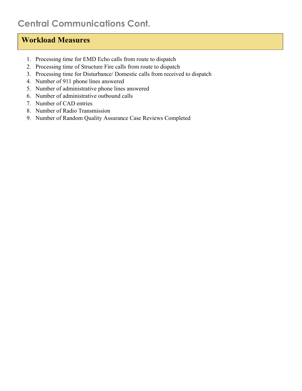### **Central Communications Cont.**

- 1. Processing time for EMD Echo calls from route to dispatch
- 2. Processing time of Structure Fire calls from route to dispatch
- 3. Processing time for Disturbance/ Domestic calls from received to dispatch
- 4. Number of 911 phone lines answered
- 5. Number of administrative phone lines answered
- 6. Number of administrative outbound calls
- 7. Number of CAD entries
- 8. Number of Radio Transmission
- 9. Number of Random Quality Assurance Case Reviews Completed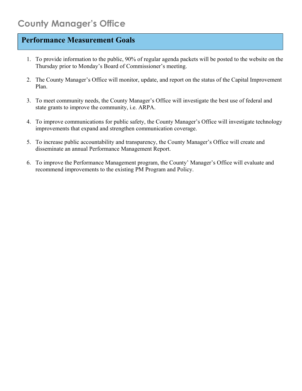- 1. To provide information to the public, 90% of regular agenda packets will be posted to the website on the Thursday prior to Monday's Board of Commissioner's meeting.
- 2. The County Manager's Office will monitor, update, and report on the status of the Capital Improvement Plan.
- 3. To meet community needs, the County Manager's Office will investigate the best use of federal and state grants to improve the community, i.e. ARPA.
- 4. To improve communications for public safety, the County Manager's Office will investigate technology improvements that expand and strengthen communication coverage.
- 5. To increase public accountability and transparency, the County Manager's Office will create and disseminate an annual Performance Management Report.
- 6. To improve the Performance Management program, the County' Manager's Office will evaluate and recommend improvements to the existing PM Program and Policy.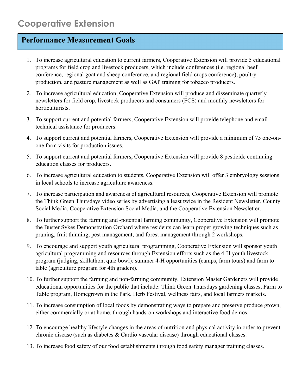- 1. To increase agricultural education to current farmers, Cooperative Extension will provide 5 educational programs for field crop and livestock producers, which include conferences (i.e. regional beef conference, regional goat and sheep conference, and regional field crops conference), poultry production, and pasture management as well as GAP training for tobacco producers.
- 2. To increase agricultural education, Cooperative Extension will produce and disseminate quarterly newsletters for field crop, livestock producers and consumers (FCS) and monthly newsletters for horticulturists.
- 3. To support current and potential farmers, Cooperative Extension will provide telephone and email technical assistance for producers.
- 4. To support current and potential farmers, Cooperative Extension will provide a minimum of 75 one-onone farm visits for production issues.
- 5. To support current and potential farmers, Cooperative Extension will provide 8 pesticide continuing education classes for producers.
- 6. To increase agricultural education to students, Cooperative Extension will offer 3 embryology sessions in local schools to increase agriculture awareness.
- 7. To increase participation and awareness of agricultural resources, Cooperative Extension will promote the Think Green Thursdays video series by advertising a least twice in the Resident Newsletter, County Social Media, Cooperative Extension Social Media, and the Cooperative Extension Newsletter.
- 8. To further support the farming and -potential farming community, Cooperative Extension will promote the Buster Sykes Demonstration Orchard where residents can learn proper growing techniques such as pruning, fruit thinning, pest management, and forest management through 2 workshops.
- 9. To encourage and support youth agricultural programming, Cooperative Extension will sponsor youth agricultural programming and resources through Extension efforts such as the 4-H youth livestock program (judging, skillathon, quiz bowl): summer 4-H opportunities (camps, farm tours) and farm to table (agriculture program for 4th graders).
- 10. To further support the farming and non-farming community, Extension Master Gardeners will provide educational opportunities for the public that include: Think Green Thursdays gardening classes, Farm to Table program, Homegrown in the Park, Herb Festival, wellness fairs, and local farmers markets.
- 11. To increase consumption of local foods by demonstrating ways to prepare and preserve produce grown, either commercially or at home, through hands-on workshops and interactive food demos.
- 12. To encourage healthy lifestyle changes in the areas of nutrition and physical activity in order to prevent chronic disease (such as diabetes & Cardio vascular disease) through educational classes.
- 13. To increase food safety of our food establishments through food safety manager training classes.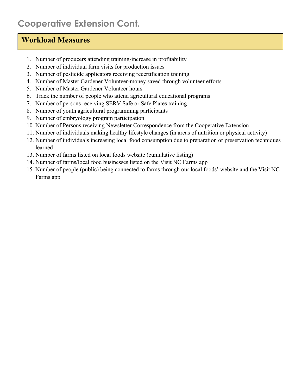### **Cooperative Extension Cont.**

- 1. Number of producers attending training-increase in profitability
- 2. Number of individual farm visits for production issues
- 3. Number of pesticide applicators receiving recertification training
- 4. Number of Master Gardener Volunteer-money saved through volunteer efforts
- 5. Number of Master Gardener Volunteer hours
- 6. Track the number of people who attend agricultural educational programs
- 7. Number of persons receiving SERV Safe or Safe Plates training
- 8. Number of youth agricultural programming participants
- 9. Number of embryology program participation
- 10. Number of Persons receiving Newsletter Correspondence from the Cooperative Extension
- 11. Number of individuals making healthy lifestyle changes (in areas of nutrition or physical activity)
- 12. Number of individuals increasing local food consumption due to preparation or preservation techniques learned
- 13. Number of farms listed on local foods website (cumulative listing)
- 14. Number of farms/local food businesses listed on the Visit NC Farms app
- 15. Number of people (public) being connected to farms through our local foods' website and the Visit NC Farms app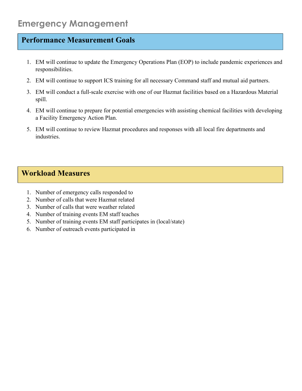- 1. EM will continue to update the Emergency Operations Plan (EOP) to include pandemic experiences and responsibilities.
- 2. EM will continue to support ICS training for all necessary Command staff and mutual aid partners.
- 3. EM will conduct a full-scale exercise with one of our Hazmat facilities based on a Hazardous Material spill.
- 4. EM will continue to prepare for potential emergencies with assisting chemical facilities with developing a Facility Emergency Action Plan.
- 5. EM will continue to review Hazmat procedures and responses with all local fire departments and industries.

- 1. Number of emergency calls responded to
- 2. Number of calls that were Hazmat related
- 3. Number of calls that were weather related
- 4. Number of training events EM staff teaches
- 5. Number of training events EM staff participates in (local/state)
- 6. Number of outreach events participated in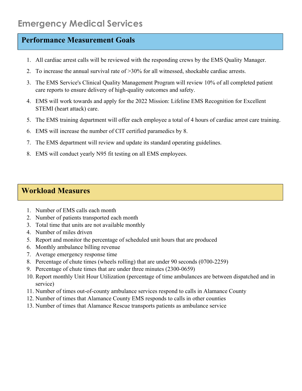- 1. All cardiac arrest calls will be reviewed with the responding crews by the EMS Quality Manager.
- 2. To increase the annual survival rate of  $>30\%$  for all witnessed, shockable cardiac arrests.
- 3. The EMS Service's Clinical Quality Management Program will review 10% of all completed patient care reports to ensure delivery of high-quality outcomes and safety.
- 4. EMS will work towards and apply for the 2022 Mission: Lifeline EMS Recognition for Excellent STEMI (heart attack) care.
- 5. The EMS training department will offer each employee a total of 4 hours of cardiac arrest care training.
- 6. EMS will increase the number of CIT certified paramedics by 8.
- 7. The EMS department will review and update its standard operating guidelines.
- 8. EMS will conduct yearly N95 fit testing on all EMS employees.

- 1. Number of EMS calls each month
- 2. Number of patients transported each month
- 3. Total time that units are not available monthly
- 4. Number of miles driven
- 5. Report and monitor the percentage of scheduled unit hours that are produced
- 6. Monthly ambulance billing revenue
- 7. Average emergency response time
- 8. Percentage of chute times (wheels rolling) that are under 90 seconds (0700-2259)
- 9. Percentage of chute times that are under three minutes (2300-0659)
- 10. Report monthly Unit Hour Utilization (percentage of time ambulances are between dispatched and in service)
- 11. Number of times out-of-county ambulance services respond to calls in Alamance County
- 12. Number of times that Alamance County EMS responds to calls in other counties
- 13. Number of times that Alamance Rescue transports patients as ambulance service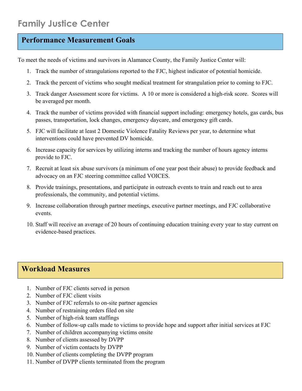To meet the needs of victims and survivors in Alamance County, the Family Justice Center will:

- 1. Track the number of strangulations reported to the FJC, highest indicator of potential homicide.
- 2. Track the percent of victims who sought medical treatment for strangulation prior to coming to FJC.
- 3. Track danger Assessment score for victims. A 10 or more is considered a high-risk score. Scores will be averaged per month.
- 4. Track the number of victims provided with financial support including: emergency hotels, gas cards, bus passes, transportation, lock changes, emergency daycare, and emergency gift cards.
- 5. FJC will facilitate at least 2 Domestic Violence Fatality Reviews per year, to determine what interventions could have prevented DV homicide.
- 6. Increase capacity for services by utilizing interns and tracking the number of hours agency interns provide to FJC.
- 7. Recruit at least six abuse survivors (a minimum of one year post their abuse) to provide feedback and advocacy on an FJC steering committee called VOICES.
- 8. Provide trainings, presentations, and participate in outreach events to train and reach out to area professionals, the community, and potential victims.
- 9. Increase collaboration through partner meetings, executive partner meetings, and FJC collaborative events.
- 10. Staff will receive an average of 20 hours of continuing education training every year to stay current on evidence-based practices.

- 1. Number of FJC clients served in person
- 2. Number of FJC client visits
- 3. Number of FJC referrals to on-site partner agencies
- 4. Number of restraining orders filed on site
- 5. Number of high-risk team staffings
- 6. Number of follow-up calls made to victims to provide hope and support after initial services at FJC
- 7. Number of children accompanying victims onsite
- 8. Number of clients assessed by DVPP
- 9. Number of victim contacts by DVPP
- 10. Number of clients completing the DVPP program
- 11. Number of DVPP clients terminated from the program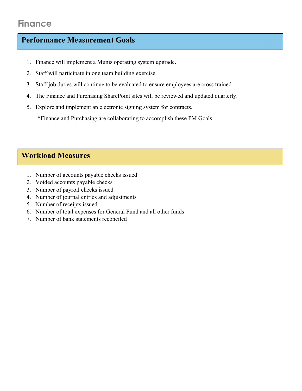### **Finance**

### **Performance Measurement Goals**

- 1. Finance will implement a Munis operating system upgrade.
- 2. Staff will participate in one team building exercise.
- 3. Staff job duties will continue to be evaluated to ensure employees are cross trained.
- 4. The Finance and Purchasing SharePoint sites will be reviewed and updated quarterly.
- 5. Explore and implement an electronic signing system for contracts.

\*Finance and Purchasing are collaborating to accomplish these PM Goals.

- 1. Number of accounts payable checks issued
- 2. Voided accounts payable checks
- 3. Number of payroll checks issued
- 4. Number of journal entries and adjustments
- 5. Number of receipts issued
- 6. Number of total expenses for General Fund and all other funds
- 7. Number of bank statements reconciled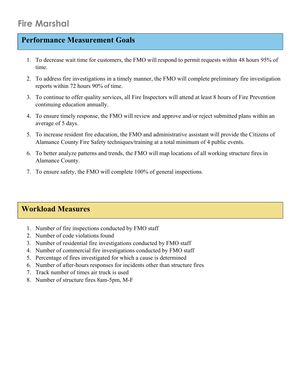- 1. To decrease wait time for customers, the FMO will respond to permit requests within 48 hours 95% of time.
- 2. To address fire investigations in a timely manner, the FMO will complete preliminary fire investigation reports within 72 hours 90% of time.
- 3. To continue to offer quality services, all Fire Inspectors will attend at least 8 hours of Fire Prevention continuing education annually.
- 4. To ensure timely response, the FMO will review and approve and/or reject submitted plans within an average of 5 days.
- 5. To increase resident fire education, the FMO and administrative assistant will provide the Citizens of Alamance County Fire Safety techniques/training at a total minimum of 4 public events.
- 6. To better analyze patterns and trends, the FMO will map locations of all working structure fires in Alamance County.
- 7. To ensure safety, the FMO will complete 100% of general inspections.

- 1. Number of fire inspections conducted by FMO staff
- 2. Number of code violations found
- 3. Number of residential fire investigations conducted by FMO staff
- 4. Number of commercial fire investigations conducted by FMO staff
- 5. Percentage of fires investigated for which a cause is determined
- 6. Number of after-hours responses for incidents other than structure fires
- 7. Track number of times air truck is used
- 8. Number of structure fires 8am-5pm, M-F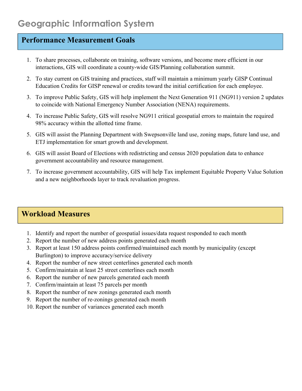- 1. To share processes, collaborate on training, software versions, and become more efficient in our interactions, GIS will coordinate a county-wide GIS/Planning collaboration summit.
- 2. To stay current on GIS training and practices, staff will maintain a minimum yearly GISP Continual Education Credits for GISP renewal or credits toward the initial certification for each employee.
- 3. To improve Public Safety, GIS will help implement the Next Generation 911 (NG911) version 2 updates to coincide with National Emergency Number Association (NENA) requirements.
- 4. To increase Public Safety, GIS will resolve NG911 critical geospatial errors to maintain the required 98% accuracy within the allotted time frame.
- 5. GIS will assist the Planning Department with Swepsonville land use, zoning maps, future land use, and ETJ implementation for smart growth and development.
- 6. GIS will assist Board of Elections with redistricting and census 2020 population data to enhance government accountability and resource management.
- 7. To increase government accountability, GIS will help Tax implement Equitable Property Value Solution and a new neighborhoods layer to track revaluation progress.

- 1. Identify and report the number of geospatial issues/data request responded to each month
- 2. Report the number of new address points generated each month
- 3. Report at least 150 address points confirmed/maintained each month by municipality (except Burlington) to improve accuracy/service delivery
- 4. Report the number of new street centerlines generated each month
- 5. Confirm/maintain at least 25 street centerlines each month
- 6. Report the number of new parcels generated each month
- 7. Confirm/maintain at least 75 parcels per month
- 8. Report the number of new zonings generated each month
- 9. Report the number of re-zonings generated each month
- 10. Report the number of variances generated each month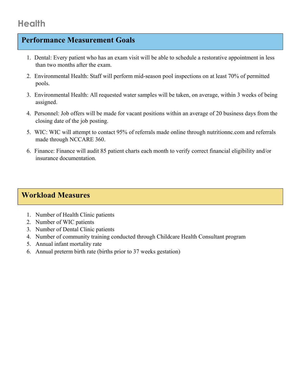- 1. Dental: Every patient who has an exam visit will be able to schedule a restorative appointment in less than two months after the exam.
- 2. Environmental Health: Staff will perform mid-season pool inspections on at least 70% of permitted pools.
- 3. Environmental Health: All requested water samples will be taken, on average, within 3 weeks of being assigned.
- 4. Personnel: Job offers will be made for vacant positions within an average of 20 business days from the closing date of the job posting.
- 5. WIC: WIC will attempt to contact 95% of referrals made online through nutritionnc.com and referrals made through NCCARE 360.
- 6. Finance: Finance will audit 85 patient charts each month to verify correct financial eligibility and/or insurance documentation.

### **Workload Measures**

 $\overline{\phantom{a}}$ 

- 1. Number of Health Clinic patients
- 2. Number of WIC patients
- 3. Number of Dental Clinic patients
- 4. Number of community training conducted through Childcare Health Consultant program
- 5. Annual infant mortality rate
- 6. Annual preterm birth rate (births prior to 37 weeks gestation)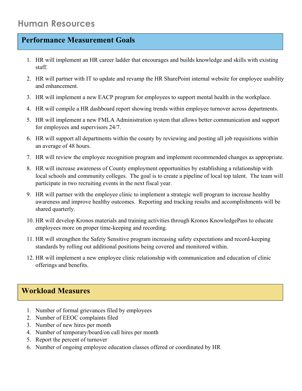- 1. HR will implement an HR career ladder that encourages and builds knowledge and skills with existing staff.
- 2. HR will partner with IT to update and revamp the HR SharePoint internal website for employee usability and enhancement.
- 3. HR will implement a new EACP program for employees to support mental health in the workplace.
- 4. HR will compile a HR dashboard report showing trends within employee turnover across departments.
- 5. HR will implement a new FMLA Administration system that allows better communication and support for employees and supervisors 24/7.
- 6. HR will support all departments within the county by reviewing and posting all job requisitions within an average of 48 hours.
- 7. HR will review the employee recognition program and implement recommended changes as appropriate.
- 8. HR will increase awareness of County employment opportunities by establishing a relationship with local schools and community colleges. The goal is to create a pipeline of local top talent. The team will participate in two recruiting events in the next fiscal year.
- 9. HR will partner with the employee clinic to implement a strategic well program to increase healthy awareness and improve healthy outcomes. Reporting and tracking results and accomplishments will be shared quarterly.
- 10. HR will develop Kronos materials and training activities through Kronos KnowledgePass to educate employees more on proper time-keeping and recording.
- 11. HR will strengthen the Safety Sensitive program increasing safety expectations and record-keeping standards by rolling out additional positions being covered and monitored within.
- 12. HR will implement a new employee clinic relationship with communication and education of clinic offerings and benefits.

- 1. Number of formal grievances filed by employees
- 2. Number of EEOC complaints filed
- 3. Number of new hires per month
- 4. Number of temporary/board/on call hires per month
- 5. Report the percent of turnover
- 6. Number of ongoing employee education classes offered or coordinated by HR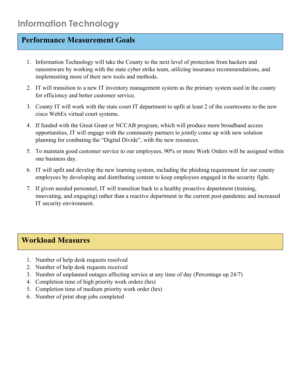- 1. Information Technology will take the County to the next level of protection from hackers and ransomware by working with the state cyber strike team, utilizing insurance recommendations, and implementing more of their new tools and methods.
- 2. IT will transition to a new IT inventory management system as the primary system used in the county for efficiency and better customer service.
- 3. County IT will work with the state court IT department to upfit at least 2 of the courtrooms to the new cisco WebEx virtual court systems.
- 4. If funded with the Great Grant or NCCAB program, which will produce more broadband access opportunities, IT will engage with the community partners to jointly come up with new solution planning for combating the "Digital Divide", with the new resources.
- 5. To maintain good customer service to our employees, 90% or more Work Orders will be assigned within one business day.
- 6. IT will upfit and develop the new learning system, including the phishing requirement for our county employees by developing and distributing content to keep employees engaged in the security fight.
- 7. If given needed personnel, IT will transition back to a healthy proactive department (training, innovating, and engaging) rather than a reactive department in the current post-pandemic and increased IT security environment.

- 1. Number of help desk requests resolved
- 2. Number of help desk requests received
- 3. Number of unplanned outages affecting service at any time of day (Percentage up 24/7)
- 4. Completion time of high priority work orders (hrs)
- 5. Completion time of medium priority work order (hrs)
- 6. Number of print shop jobs completed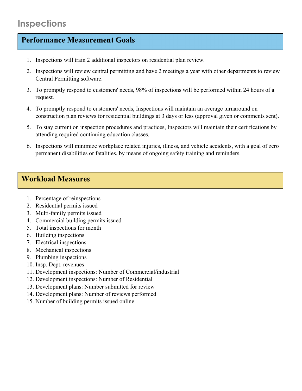- 1. Inspections will train 2 additional inspectors on residential plan review.
- 2. Inspections will review central permitting and have 2 meetings a year with other departments to review Central Permitting software.
- 3. To promptly respond to customers' needs, 98% of inspections will be performed within 24 hours of a request.
- 4. To promptly respond to customers' needs, Inspections will maintain an average turnaround on construction plan reviews for residential buildings at 3 days or less (approval given or comments sent).
- 5. To stay current on inspection procedures and practices, Inspectors will maintain their certifications by attending required continuing education classes.
- 6. Inspections will minimize workplace related injuries, illness, and vehicle accidents, with a goal of zero permanent disabilities or fatalities, by means of ongoing safety training and reminders.

- 1. Percentage of reinspections
- 2. Residential permits issued
- 3. Multi-family permits issued
- 4. Commercial building permits issued
- 5. Total inspections for month
- 6. Building inspections
- 7. Electrical inspections
- 8. Mechanical inspections
- 9. Plumbing inspections
- 10. Insp. Dept. revenues
- 11. Development inspections: Number of Commercial/industrial
- 12. Development inspections: Number of Residential
- 13. Development plans: Number submitted for review
- 14. Development plans: Number of reviews performed
- 15. Number of building permits issued online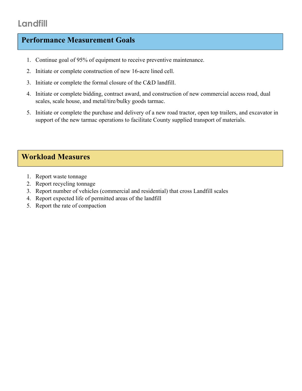### **Landfill**

### **Performance Measurement Goals**

- 1. Continue goal of 95% of equipment to receive preventive maintenance.
- 2. Initiate or complete construction of new 16-acre lined cell.
- 3. Initiate or complete the formal closure of the C&D landfill.
- 4. Initiate or complete bidding, contract award, and construction of new commercial access road, dual scales, scale house, and metal/tire/bulky goods tarmac.
- 5. Initiate or complete the purchase and delivery of a new road tractor, open top trailers, and excavator in support of the new tarmac operations to facilitate County supplied transport of materials.

- 1. Report waste tonnage
- 2. Report recycling tonnage
- 3. Report number of vehicles (commercial and residential) that cross Landfill scales
- 4. Report expected life of permitted areas of the landfill
- 5. Report the rate of compaction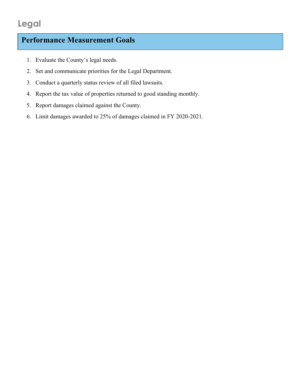### **Legal**

- 1. Evaluate the County's legal needs.
- 2. Set and communicate priorities for the Legal Department.
- 3. Conduct a quarterly status review of all filed lawsuits.
- 4. Report the tax value of properties returned to good standing monthly.
- 5. Report damages claimed against the County.
- 6. Limit damages awarded to 25% of damages claimed in FY 2020-2021.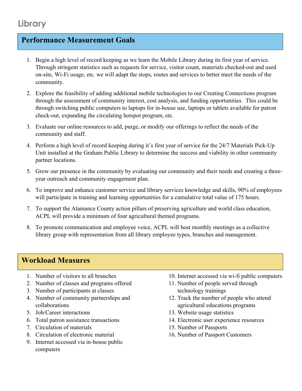- 1. Begin a high level of record keeping as we learn the Mobile Library during its first year of service. Through stringent statistics such as requests for service, visitor count, materials checked-out and used on-site, Wi-Fi usage, etc. we will adapt the stops, routes and services to better meet the needs of the community.
- 2. Explore the feasibility of adding additional mobile technologies to our Creating Connections program through the assessment of community interest, cost analysis, and funding opportunities. This could be through switching public computers to laptops for in-house use, laptops or tablets available for patron check-out, expanding the circulating hotspot program, etc.
- 3. Evaluate our online resources to add, purge, or modify our offerings to reflect the needs of the community and staff.
- 4. Perform a high level of record keeping during it's first year of service for the 24/7 Materials Pick-Up Unit installed at the Graham Public Library to determine the success and viability in other community partner locations.
- 5. Grow our presence in the community by evaluating our community and their needs and creating a threeyear outreach and community engagement plan.
- 6. To improve and enhance customer service and library services knowledge and skills, 90% of employees will participate in training and learning opportunities for a cumulative total value of 175 hours.
- 7. To support the Alamance County action pillars of preserving agriculture and world class education, ACPL will provide a minimum of four agricultural themed programs.
- 8. To promote communication and employee voice, ACPL will host monthly meetings as a collective library group with representation from all library employee types, branches and management.

- 1. Number of visitors to all branches
- 2. Number of classes and programs offered
- 3. Number of participants at classes
- 4. Number of community partnerships and collaborations
- 5. Job/Career interactions
- 6. Total patron assistance transactions
- 7. Circulation of materials
- 8. Circulation of electronic material
- 9. Internet accessed via in-house public computers
- 10. Internet accessed via wi-fi public computers
- 11. Number of people served through technology trainings
- 12. Track the number of people who attend agricultural educations programs
- 13. Website usage statistics
- 14. Electronic user experience resources
- 15. Number of Passports
- 16. Number of Passport Customers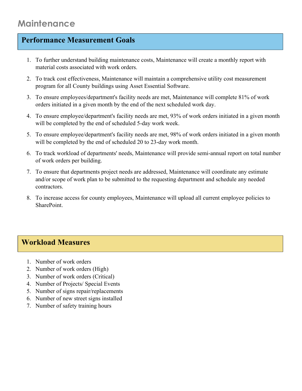### **Maintenance**

### **Performance Measurement Goals**

- 1. To further understand building maintenance costs, Maintenance will create a monthly report with material costs associated with work orders.
- 2. To track cost effectiveness, Maintenance will maintain a comprehensive utility cost measurement program for all County buildings using Asset Essential Software.
- 3. To ensure employees/department's facility needs are met, Maintenance will complete 81% of work orders initiated in a given month by the end of the next scheduled work day.
- 4. To ensure employee/department's facility needs are met, 93% of work orders initiated in a given month will be completed by the end of scheduled 5-day work week.
- 5. To ensure employee/department's facility needs are met, 98% of work orders initiated in a given month will be completed by the end of scheduled 20 to 23-day work month.
- 6. To track workload of departments' needs, Maintenance will provide semi-annual report on total number of work orders per building.
- 7. To ensure that departments project needs are addressed, Maintenance will coordinate any estimate and/or scope of work plan to be submitted to the requesting department and schedule any needed contractors.
- 8. To increase access for county employees, Maintenance will upload all current employee policies to SharePoint.

- 1. Number of work orders
- 2. Number of work orders (High)
- 3. Number of work orders (Critical)
- 4. Number of Projects/ Special Events
- 5. Number of signs repair/replacements
- 6. Number of new street signs installed
- 7. Number of safety training hours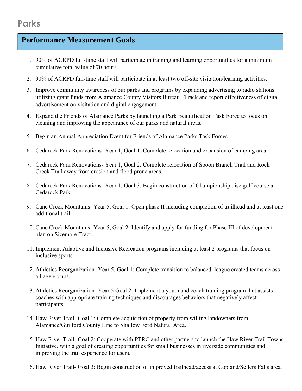### **Parks**

- 1. 90% of ACRPD full-time staff will participate in training and learning opportunities for a minimum cumulative total value of 70 hours.
- 2. 90% of ACRPD full-time staff will participate in at least two off-site visitation/learning activities.
- 3. Improve community awareness of our parks and programs by expanding advertising to radio stations utilizing grant funds from Alamance County Visitors Bureau. Track and report effectiveness of digital advertisement on visitation and digital engagement.
- 4. Expand the Friends of Alamance Parks by launching a Park Beautification Task Force to focus on cleaning and improving the appearance of our parks and natural areas.
- 5. Begin an Annual Appreciation Event for Friends of Alamance Parks Task Forces.
- 6. Cedarock Park Renovations- Year 1, Goal 1: Complete relocation and expansion of camping area.
- 7. Cedarock Park Renovations- Year 1, Goal 2: Complete relocation of Spoon Branch Trail and Rock Creek Trail away from erosion and flood prone areas.
- 8. Cedarock Park Renovations- Year 1, Goal 3: Begin construction of Championship disc golf course at Cedarock Park.
- 9. Cane Creek Mountains- Year 5, Goal 1: Open phase II including completion of trailhead and at least one additional trail.
- 10. Cane Creek Mountains- Year 5, Goal 2: Identify and apply for funding for Phase III of development plan on Sizemore Tract.
- 11. Implement Adaptive and Inclusive Recreation programs including at least 2 programs that focus on inclusive sports.
- 12. Athletics Reorganization- Year 5, Goal 1: Complete transition to balanced, league created teams across all age groups.
- 13. Athletics Reorganization- Year 5 Goal 2: Implement a youth and coach training program that assists coaches with appropriate training techniques and discourages behaviors that negatively affect participants.
- 14. Haw River Trail- Goal 1: Complete acquisition of property from willing landowners from Alamance/Guilford County Line to Shallow Ford Natural Area.
- 15. Haw River Trail- Goal 2: Cooperate with PTRC and other partners to launch the Haw River Trail Towns Initiative, with a goal of creating opportunities for small businesses in riverside communities and improving the trail experience for users.
- 16. Haw River Trail- Goal 3: Begin construction of improved trailhead/access at Copland/Sellers Falls area.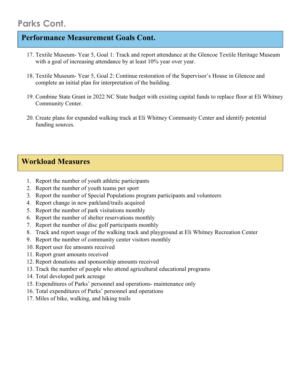### **Parks Cont.**

### **Performance Measurement Goals Cont.**

- 17. Textile Museum- Year 5, Goal 1: Track and report attendance at the Glencoe Textile Heritage Museum with a goal of increasing attendance by at least 10% year over year.
- 18. Textile Museum- Year 5, Goal 2: Continue restoration of the Supervisor's House in Glencoe and complete an initial plan for interpretation of the building.
- 19. Combine State Grant in 2022 NC State budget with existing capital funds to replace floor at Eli Whitney Community Center.
- 20. Create plans for expanded walking track at Eli Whitney Community Center and identify potential funding sources.

- 1. Report the number of youth athletic participants
- 2. Report the number of youth teams per sport
- 3. Report the number of Special Populations program participants and volunteers
- 4. Report change in new parkland/trails acquired
- 5. Report the number of park visitations monthly
- 6. Report the number of shelter reservations monthly
- 7. Report the number of disc golf participants monthly
- 8. Track and report usage of the walking track and playground at Eli Whitney Recreation Center
- 9. Report the number of community center visitors monthly
- 10. Report user fee amounts received
- 11. Report grant amounts received
- 12. Report donations and sponsorship amounts received
- 13. Track the number of people who attend agricultural educational programs
- 14. Total developed park acreage
- 15. Expenditures of Parks' personnel and operations- maintenance only
- 16. Total expenditures of Parks' personnel and operations
- 17. Miles of bike, walking, and hiking trails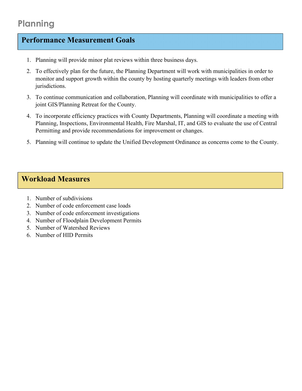### **Planning**

### **Performance Measurement Goals**

- 1. Planning will provide minor plat reviews within three business days.
- 2. To effectively plan for the future, the Planning Department will work with municipalities in order to monitor and support growth within the county by hosting quarterly meetings with leaders from other jurisdictions.
- 3. To continue communication and collaboration, Planning will coordinate with municipalities to offer a joint GIS/Planning Retreat for the County.
- 4. To incorporate efficiency practices with County Departments, Planning will coordinate a meeting with Planning, Inspections, Environmental Health, Fire Marshal, IT, and GIS to evaluate the use of Central Permitting and provide recommendations for improvement or changes.
- 5. Planning will continue to update the Unified Development Ordinance as concerns come to the County.

- 1. Number of subdivisions
- 2. Number of code enforcement case loads
- 3. Number of code enforcement investigations
- 4. Number of Floodplain Development Permits
- 5. Number of Watershed Reviews
- 6. Number of HID Permits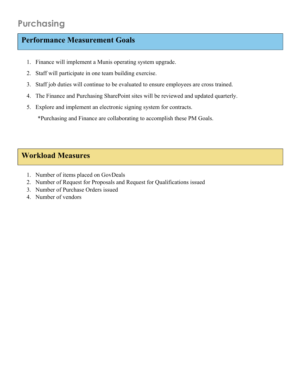- 1. Finance will implement a Munis operating system upgrade.
- 2. Staff will participate in one team building exercise.
- 3. Staff job duties will continue to be evaluated to ensure employees are cross trained.
- 4. The Finance and Purchasing SharePoint sites will be reviewed and updated quarterly.
- 5. Explore and implement an electronic signing system for contracts.

\*Purchasing and Finance are collaborating to accomplish these PM Goals.

- 1. Number of items placed on GovDeals
- 2. Number of Request for Proposals and Request for Qualifications issued
- 3. Number of Purchase Orders issued
- 4. Number of vendors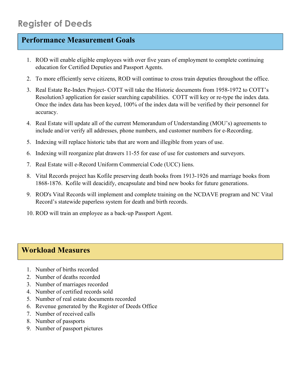- 1. ROD will enable eligible employees with over five years of employment to complete continuing education for Certified Deputies and Passport Agents.
- 2. To more efficiently serve citizens, ROD will continue to cross train deputies throughout the office.
- 3. Real Estate Re-Index Project- COTT will take the Historic documents from 1958-1972 to COTT's Resolution3 application for easier searching capabilities. COTT will key or re-type the index data. Once the index data has been keyed, 100% of the index data will be verified by their personnel for accuracy.
- 4. Real Estate will update all of the current Memorandum of Understanding (MOU's) agreements to include and/or verify all addresses, phone numbers, and customer numbers for e-Recording.
- 5. Indexing will replace historic tabs that are worn and illegible from years of use.
- 6. Indexing will reorganize plat drawers 11-55 for ease of use for customers and surveyors.
- 7. Real Estate will e-Record Uniform Commercial Code (UCC) liens.
- 8. Vital Records project has Kofile preserving death books from 1913-1926 and marriage books from 1868-1876. Kofile will deacidify, encapsulate and bind new books for future generations.
- 9. ROD's Vital Records will implement and complete training on the NCDAVE program and NC Vital Record's statewide paperless system for death and birth records.
- 10. ROD will train an employee as a back-up Passport Agent.

- 1. Number of births recorded
- 2. Number of deaths recorded
- 3. Number of marriages recorded
- 4. Number of certified records sold
- 5. Number of real estate documents recorded
- 6. Revenue generated by the Register of Deeds Office
- 7. Number of received calls
- 8. Number of passports
- 9. Number of passport pictures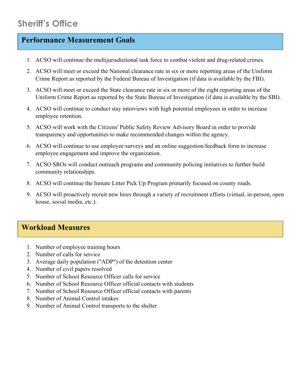- 1. ACSO will continue the multijurisdictional task force to combat violent and drug-related crimes.
- 2. ACSO will meet or exceed the National clearance rate in six or more reporting areas of the Uniform Crime Report as reported by the Federal Bureau of Investigation (if data is available by the FBI).
- 3. ACSO will meet or exceed the State clearance rate in six or more of the eight reporting areas of the Uniform Crime Report as reported by the State Bureau of Investigation (if data is available by the SBI).
- 4. ACSO will continue to conduct stay interviews with high potential employees in order to increase employee retention.
- 5. ACSO will work with the Citizens' Public Safety Review Advisory Board in order to provide transparency and opportunities to make recommended changes within the agency.
- 6. ACSO will continue to use employee surveys and an online suggestion/feedback form to increase employee engagement and improve the organization.
- 7. ACSO SROs will conduct outreach programs and community policing initiatives to further build community relationships.
- 8. ACSO will continue the Inmate Litter Pick Up Program primarily focused on county roads.
- 9. ACSO will proactively recruit new hires through a variety of recruitment efforts (virtual, in-person, open house, social media, etc.).

- 1. Number of employee training hours
- 2. Number of calls for service
- 3. Average daily population ("ADP") of the detention center
- 4. Number of civil papers resolved
- 5. Number of School Resource Officer calls for service
- 6. Number of School Resource Officer official contacts with students
- 7. Number of School Resource Officer official contacts with parents
- 8. Number of Animal Control intakes
- 9. Number of Animal Control transports to the shelter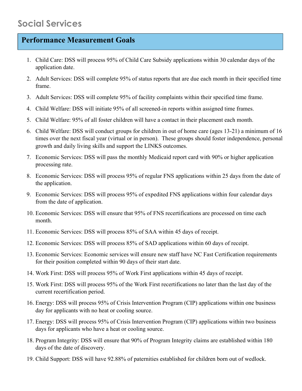- 1. Child Care: DSS will process 95% of Child Care Subsidy applications within 30 calendar days of the application date.
- 2. Adult Services: DSS will complete 95% of status reports that are due each month in their specified time frame.
- 3. Adult Services: DSS will complete 95% of facility complaints within their specified time frame.
- 4. Child Welfare: DSS will initiate 95% of all screened-in reports within assigned time frames.
- 5. Child Welfare: 95% of all foster children will have a contact in their placement each month.
- 6. Child Welfare: DSS will conduct groups for children in out of home care (ages 13-21) a minimum of 16 times over the next fiscal year (virtual or in person). These groups should foster independence, personal growth and daily living skills and support the LINKS outcomes.
- 7. Economic Services: DSS will pass the monthly Medicaid report card with 90% or higher application processing rate.
- 8. Economic Services: DSS will process 95% of regular FNS applications within 25 days from the date of the application.
- 9. Economic Services: DSS will process 95% of expedited FNS applications within four calendar days from the date of application.
- 10. Economic Services: DSS will ensure that 95% of FNS recertifications are processed on time each month.
- 11. Economic Services: DSS will process 85% of SAA within 45 days of receipt.
- 12. Economic Services: DSS will process 85% of SAD applications within 60 days of receipt.
- 13. Economic Services: Economic services will ensure new staff have NC Fast Certification requirements for their position completed within 90 days of their start date.
- 14. Work First: DSS will process 95% of Work First applications within 45 days of receipt.
- 15. Work First: DSS will process 95% of the Work First recertifications no later than the last day of the current recertification period.
- 16. Energy: DSS will process 95% of Crisis Intervention Program (CIP) applications within one business day for applicants with no heat or cooling source.
- 17. Energy: DSS will process 95% of Crisis Intervention Program (CIP) applications within two business days for applicants who have a heat or cooling source.
- 18. Program Integrity: DSS will ensure that 90% of Program Integrity claims are established within 180 days of the date of discovery.
- 19. Child Support: DSS will have 92.88% of paternities established for children born out of wedlock.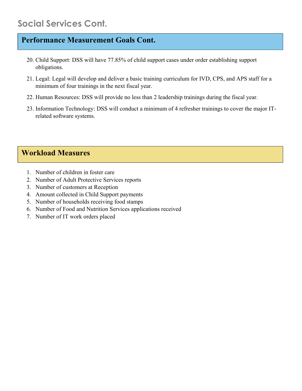### **Social Services Cont.**

#### **Performance Measurement Goals Cont.**

- 20. Child Support: DSS will have 77.85% of child support cases under order establishing support obligations.
- 21. Legal: Legal will develop and deliver a basic training curriculum for IVD, CPS, and APS staff for a minimum of four trainings in the next fiscal year.
- 22. Human Resources: DSS will provide no less than 2 leadership trainings during the fiscal year.
- 23. Information Technology: DSS will conduct a minimum of 4 refresher trainings to cover the major ITrelated software systems.

- 1. Number of children in foster care
- 2. Number of Adult Protective Services reports
- 3. Number of customers at Reception
- 4. Amount collected in Child Support payments
- 5. Number of households receiving food stamps
- 6. Number of Food and Nutrition Services applications received
- 7. Number of IT work orders placed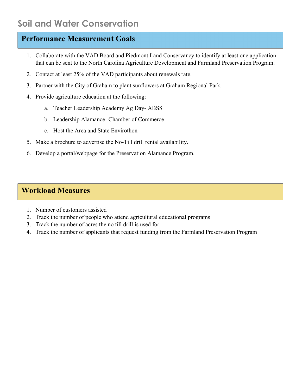- 1. Collaborate with the VAD Board and Piedmont Land Conservancy to identify at least one application that can be sent to the North Carolina Agriculture Development and Farmland Preservation Program.
- 2. Contact at least 25% of the VAD participants about renewals rate.
- 3. Partner with the City of Graham to plant sunflowers at Graham Regional Park.
- 4. Provide agriculture education at the following:
	- a. Teacher Leadership Academy Ag Day- ABSS
	- b. Leadership Alamance- Chamber of Commerce
	- c. Host the Area and State Envirothon
- 5. Make a brochure to advertise the No-Till drill rental availability.
- 6. Develop a portal/webpage for the Preservation Alamance Program.

- 1. Number of customers assisted
- 2. Track the number of people who attend agricultural educational programs
- 3. Track the number of acres the no till drill is used for
- 4. Track the number of applicants that request funding from the Farmland Preservation Program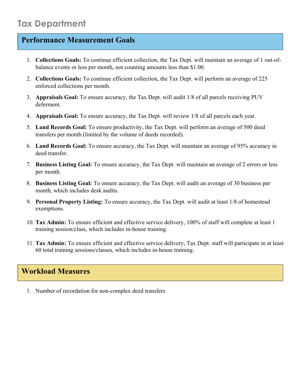- 1. **Collections Goals:** To continue efficient collection, the Tax Dept. will maintain an average of 1 out-ofbalance events or less per month, not counting amounts less than \$1.00.
- 2. **Collections Goals:** To continue efficient collection, the Tax Dept. will perform an average of 225 enforced collections per month.
- 3. **Appraisals Goal:** To ensure accuracy, the Tax Dept. will audit 1/8 of all parcels receiving PUV deferment.
- 4. **Appraisals Goal:** To ensure accuracy, the Tax Dept. will review 1/8 of all parcels each year.
- 5. **Land Records Goal:** To ensure productivity, the Tax Dept. will perform an average of 500 deed transfers per month (limited by the volume of deeds recorded).
- 6. **Land Records Goal:** To ensure accuracy, the Tax Dept. will maintain an average of 95% accuracy in deed transfer.
- 7. **Business Listing Goal:** To ensure accuracy, the Tax Dept. will maintain an average of 2 errors or less per month.
- 8. **Business Listing Goal:** To ensure accuracy, the Tax Dept. will audit an average of 30 business per month, which includes desk audits.
- 9. **Personal Property Listing:** To ensure accuracy, the Tax Dept. will audit at least 1/8 of homestead exemptions.
- 10. **Tax Admin:** To ensure efficient and effective service delivery, 100% of staff will complete at least 1 training session/class, which includes in-house training.
- 11. **Tax Admin:** To ensure efficient and effective service delivery, Tax Dept. staff will participate in at least 60 total training sessions/classes, which includes in-house training.

### **Workload Measures**

1. Number of recordation for non-complex deed transfers